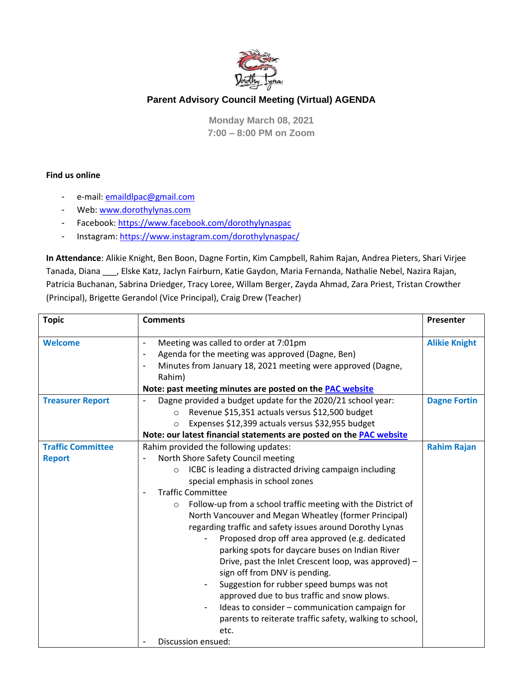

## **Parent Advisory Council Meeting (Virtual) AGENDA**

**Monday March 08, 2021 7:00 – 8:00 PM on Zoom**

## **Find us online**

- e-mail: [emaildlpac@gmail.com](mailto:emaildlpac@gmail.com)
- Web[: www.dorothylynas.com](http://www.dorothylynas.com/)
- Facebook:<https://www.facebook.com/dorothylynaspac>
- Instagram:<https://www.instagram.com/dorothylynaspac/>

**In Attendance**: Alikie Knight, Ben Boon, Dagne Fortin, Kim Campbell, Rahim Rajan, Andrea Pieters, Shari Virjee Tanada, Diana \_\_\_, Elske Katz, Jaclyn Fairburn, Katie Gaydon, Maria Fernanda, Nathalie Nebel, Nazira Rajan, Patricia Buchanan, Sabrina Driedger, Tracy Loree, Willam Berger, Zayda Ahmad, Zara Priest, Tristan Crowther (Principal), Brigette Gerandol (Vice Principal), Craig Drew (Teacher)

| <b>Topic</b>                              | <b>Comments</b>                                                                                                                                                                                                                                                                                                                                                                                                                                                                                                                                                                                                                                                                                                                                                                                                                                                                     | Presenter            |
|-------------------------------------------|-------------------------------------------------------------------------------------------------------------------------------------------------------------------------------------------------------------------------------------------------------------------------------------------------------------------------------------------------------------------------------------------------------------------------------------------------------------------------------------------------------------------------------------------------------------------------------------------------------------------------------------------------------------------------------------------------------------------------------------------------------------------------------------------------------------------------------------------------------------------------------------|----------------------|
| <b>Welcome</b>                            | Meeting was called to order at 7:01pm<br>$\overline{\phantom{a}}$<br>Agenda for the meeting was approved (Dagne, Ben)<br>$\overline{\phantom{a}}$<br>Minutes from January 18, 2021 meeting were approved (Dagne,<br>Rahim)<br>Note: past meeting minutes are posted on the <b>PAC website</b>                                                                                                                                                                                                                                                                                                                                                                                                                                                                                                                                                                                       | <b>Alikie Knight</b> |
| <b>Treasurer Report</b>                   | Dagne provided a budget update for the 2020/21 school year:<br>Revenue \$15,351 actuals versus \$12,500 budget<br>$\circ$<br>Expenses \$12,399 actuals versus \$32,955 budget<br>$\circ$<br>Note: our latest financial statements are posted on the PAC website                                                                                                                                                                                                                                                                                                                                                                                                                                                                                                                                                                                                                     | <b>Dagne Fortin</b>  |
| <b>Traffic Committee</b><br><b>Report</b> | Rahim provided the following updates:<br>North Shore Safety Council meeting<br>$\overline{\phantom{a}}$<br>ICBC is leading a distracted driving campaign including<br>$\circ$<br>special emphasis in school zones<br><b>Traffic Committee</b><br>Follow-up from a school traffic meeting with the District of<br>$\circ$<br>North Vancouver and Megan Wheatley (former Principal)<br>regarding traffic and safety issues around Dorothy Lynas<br>Proposed drop off area approved (e.g. dedicated<br>parking spots for daycare buses on Indian River<br>Drive, past the Inlet Crescent loop, was approved) -<br>sign off from DNV is pending.<br>Suggestion for rubber speed bumps was not<br>approved due to bus traffic and snow plows.<br>Ideas to consider - communication campaign for<br>parents to reiterate traffic safety, walking to school,<br>etc.<br>Discussion ensued: | <b>Rahim Rajan</b>   |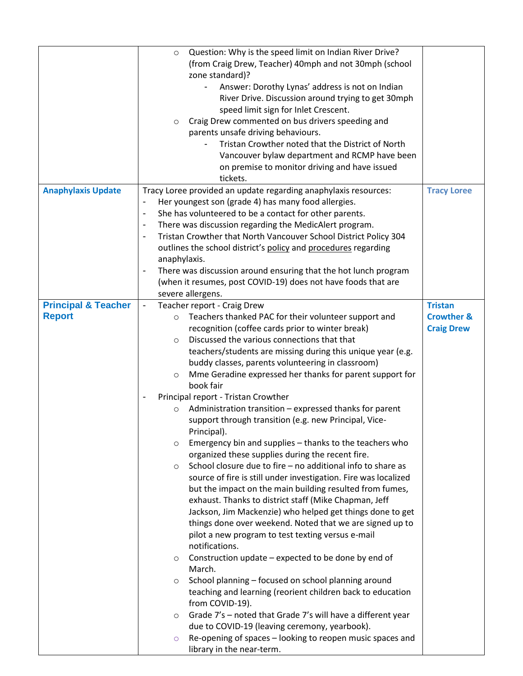|                                                 | Question: Why is the speed limit on Indian River Drive?<br>$\circ$<br>(from Craig Drew, Teacher) 40mph and not 30mph (school<br>zone standard)?<br>Answer: Dorothy Lynas' address is not on Indian<br>River Drive. Discussion around trying to get 30mph<br>speed limit sign for Inlet Crescent.<br>Craig Drew commented on bus drivers speeding and<br>$\circ$<br>parents unsafe driving behaviours.<br>Tristan Crowther noted that the District of North<br>Vancouver bylaw department and RCMP have been<br>on premise to monitor driving and have issued<br>tickets.                                                                                                                                                                                                                                                                                                                                                                                                                                                                                                                                                                                                                                                                                                                                                                                                                                                                                                                                                                                                                                                                                                               |                                                              |
|-------------------------------------------------|----------------------------------------------------------------------------------------------------------------------------------------------------------------------------------------------------------------------------------------------------------------------------------------------------------------------------------------------------------------------------------------------------------------------------------------------------------------------------------------------------------------------------------------------------------------------------------------------------------------------------------------------------------------------------------------------------------------------------------------------------------------------------------------------------------------------------------------------------------------------------------------------------------------------------------------------------------------------------------------------------------------------------------------------------------------------------------------------------------------------------------------------------------------------------------------------------------------------------------------------------------------------------------------------------------------------------------------------------------------------------------------------------------------------------------------------------------------------------------------------------------------------------------------------------------------------------------------------------------------------------------------------------------------------------------------|--------------------------------------------------------------|
| <b>Anaphylaxis Update</b>                       | Tracy Loree provided an update regarding anaphylaxis resources:<br>Her youngest son (grade 4) has many food allergies.<br>$\overline{\phantom{a}}$<br>She has volunteered to be a contact for other parents.<br>$\overline{\phantom{a}}$<br>There was discussion regarding the MedicAlert program.<br>$\blacksquare$<br>Tristan Crowther that North Vancouver School District Policy 304<br>$\overline{\phantom{a}}$<br>outlines the school district's policy and procedures regarding<br>anaphylaxis.<br>There was discussion around ensuring that the hot lunch program<br>(when it resumes, post COVID-19) does not have foods that are<br>severe allergens.                                                                                                                                                                                                                                                                                                                                                                                                                                                                                                                                                                                                                                                                                                                                                                                                                                                                                                                                                                                                                        | <b>Tracy Loree</b>                                           |
| <b>Principal &amp; Teacher</b><br><b>Report</b> | Teacher report - Craig Drew<br>$\blacksquare$<br>Teachers thanked PAC for their volunteer support and<br>$\circ$<br>recognition (coffee cards prior to winter break)<br>Discussed the various connections that that<br>$\circ$<br>teachers/students are missing during this unique year (e.g.<br>buddy classes, parents volunteering in classroom)<br>Mme Geradine expressed her thanks for parent support for<br>$\circ$<br>book fair<br>Principal report - Tristan Crowther<br>Administration transition - expressed thanks for parent<br>$\circ$<br>support through transition (e.g. new Principal, Vice-<br>Principal).<br>Emergency bin and supplies - thanks to the teachers who<br>$\circ$<br>organized these supplies during the recent fire.<br>School closure due to fire - no additional info to share as<br>$\circ$<br>source of fire is still under investigation. Fire was localized<br>but the impact on the main building resulted from fumes,<br>exhaust. Thanks to district staff (Mike Chapman, Jeff<br>Jackson, Jim Mackenzie) who helped get things done to get<br>things done over weekend. Noted that we are signed up to<br>pilot a new program to test texting versus e-mail<br>notifications.<br>Construction update – expected to be done by end of<br>$\circ$<br>March.<br>School planning - focused on school planning around<br>$\circ$<br>teaching and learning (reorient children back to education<br>from COVID-19).<br>Grade 7's - noted that Grade 7's will have a different year<br>$\circ$<br>due to COVID-19 (leaving ceremony, yearbook).<br>Re-opening of spaces - looking to reopen music spaces and<br>$\circ$<br>library in the near-term. | <b>Tristan</b><br><b>Crowther &amp;</b><br><b>Craig Drew</b> |